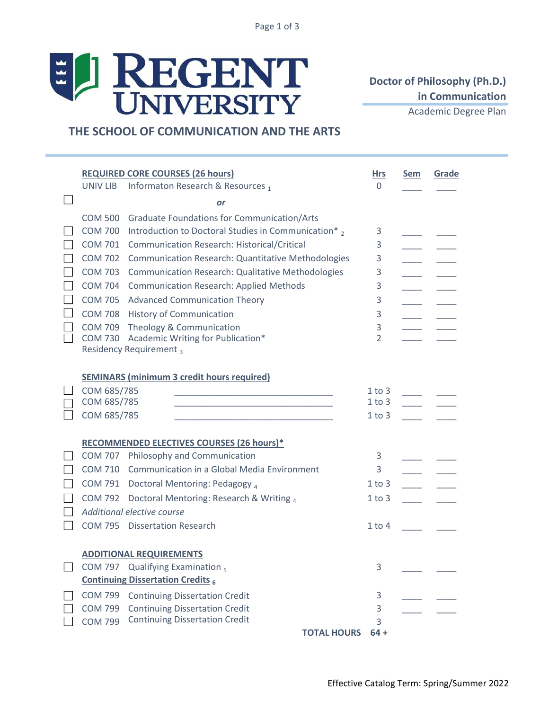# ELI REGENT

# **Doctor of Philosophy (Ph.D.) in Communication**

Academic Degree Plan

## **THE SCHOOL OF COMMUNICATION AND THE ARTS**

|                   | <b>REQUIRED CORE COURSES (26 hours)</b><br>Informaton Research & Resources 1<br>UNIV LIB |                                                                                                                       |                          | Sem           | Grade |  |  |  |  |
|-------------------|------------------------------------------------------------------------------------------|-----------------------------------------------------------------------------------------------------------------------|--------------------------|---------------|-------|--|--|--|--|
|                   |                                                                                          | or                                                                                                                    |                          |               |       |  |  |  |  |
|                   |                                                                                          | COM 500 Graduate Foundations for Communication/Arts                                                                   |                          |               |       |  |  |  |  |
| $\sim$            |                                                                                          | COM 700 Introduction to Doctoral Studies in Communication*,                                                           | 3                        |               |       |  |  |  |  |
|                   |                                                                                          | COM 701 Communication Research: Historical/Critical                                                                   | 3                        |               |       |  |  |  |  |
|                   |                                                                                          | COM 702 Communication Research: Quantitative Methodologies                                                            | 3                        |               |       |  |  |  |  |
|                   |                                                                                          | COM 703 Communication Research: Qualitative Methodologies                                                             | 3                        |               |       |  |  |  |  |
|                   |                                                                                          | COM 704 Communication Research: Applied Methods                                                                       | 3                        |               |       |  |  |  |  |
|                   |                                                                                          | COM 705 Advanced Communication Theory                                                                                 | 3                        |               |       |  |  |  |  |
|                   |                                                                                          | COM 708 History of Communication                                                                                      | 3                        |               |       |  |  |  |  |
|                   |                                                                                          | COM 709 Theology & Communication                                                                                      | 3                        |               |       |  |  |  |  |
| $\vert \ \ \vert$ |                                                                                          | COM 730 Academic Writing for Publication*                                                                             | 2                        |               |       |  |  |  |  |
|                   |                                                                                          | Residency Requirement <sub>3</sub>                                                                                    |                          |               |       |  |  |  |  |
|                   |                                                                                          |                                                                                                                       |                          |               |       |  |  |  |  |
|                   |                                                                                          | <b>SEMINARS (minimum 3 credit hours required)</b>                                                                     |                          |               |       |  |  |  |  |
|                   | COM 685/785                                                                              |                                                                                                                       | 1 to 3                   |               |       |  |  |  |  |
|                   | COM 685/785                                                                              | <u> 1989 - Johann John Stone, markin film yn y brening yn y brening yn y brening yn y brening yn y brening yn y b</u> | $1$ to $3$<br>$1$ to $3$ |               |       |  |  |  |  |
|                   | COM 685/785                                                                              | <u> 1989 - Johann John Stone, markin amerikan basal dan berkembang dan berkembang dan basal dari berkembang dan </u>  |                          |               |       |  |  |  |  |
|                   |                                                                                          | <b>RECOMMENDED ELECTIVES COURSES (26 hours)*</b>                                                                      |                          |               |       |  |  |  |  |
|                   |                                                                                          | COM 707 Philosophy and Communication                                                                                  | 3                        |               |       |  |  |  |  |
|                   |                                                                                          | COM 710 Communication in a Global Media Environment                                                                   | 3                        |               |       |  |  |  |  |
|                   |                                                                                          | COM 791 Doctoral Mentoring: Pedagogy 4                                                                                | $1$ to $3$               | $\frac{1}{2}$ |       |  |  |  |  |
|                   |                                                                                          | COM 792 Doctoral Mentoring: Research & Writing 4                                                                      | $1$ to $3$               |               |       |  |  |  |  |
|                   |                                                                                          | Additional elective course                                                                                            |                          |               |       |  |  |  |  |
|                   |                                                                                          | COM 795 Dissertation Research                                                                                         | $1$ to $4$               |               |       |  |  |  |  |
|                   |                                                                                          |                                                                                                                       |                          |               |       |  |  |  |  |
|                   | <b>ADDITIONAL REQUIREMENTS</b>                                                           |                                                                                                                       |                          |               |       |  |  |  |  |
|                   |                                                                                          | COM 797 Qualifying Examination $_5$                                                                                   | 3                        |               |       |  |  |  |  |
|                   |                                                                                          | <b>Continuing Dissertation Credits 6</b>                                                                              |                          |               |       |  |  |  |  |
|                   | <b>COM 799</b>                                                                           | <b>Continuing Dissertation Credit</b>                                                                                 | 3                        |               |       |  |  |  |  |
|                   | <b>COM 799</b>                                                                           | <b>Continuing Dissertation Credit</b>                                                                                 | 3                        |               |       |  |  |  |  |
|                   | <b>COM 799</b>                                                                           | <b>Continuing Dissertation Credit</b>                                                                                 | 3                        |               |       |  |  |  |  |
|                   |                                                                                          | <b>TOTAL HOURS</b>                                                                                                    | $64 +$                   |               |       |  |  |  |  |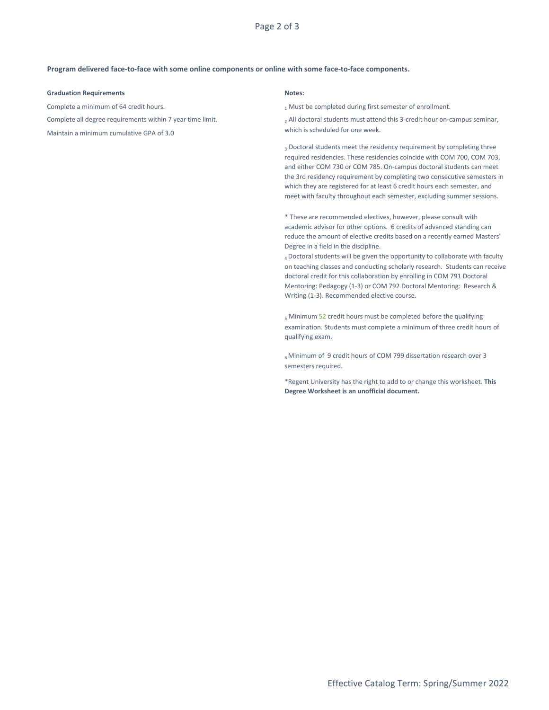Page 2 of 3

### **Program delivered face-to-face with some online components or online with some face-to-face components.**

### **Graduation Requirements**

Complete a minimum of 64 credit hours.

Complete all degree requirements within 7 year time limit.

which is scheduled for one week. Maintain a minimum cumulative GPA of 3.0

### **Notes:**

1 Must be completed during first semester of enrollment.

2 All doctoral students must attend this 3-credit hour on-campus seminar,

<sub>3</sub> Doctoral students meet the residency requirement by completing three required residencies. These residencies coincide with COM 700, COM 703, and either COM 730 or COM 785. On-campus doctoral students can meet the 3rd residency requirement by completing two consecutive semesters in which they are registered for at least 6 credit hours each semester, and meet with faculty throughout each semester, excluding summer sessions.

\* These are recommended electives, however, please consult with academic advisor for other options. 6 credits of advanced standing can reduce the amount of elective credits based on a recently earned Masters' Degree in a field in the discipline.

<sup>4</sup>Doctoral students will be given the opportunity to collaborate with faculty on teaching classes and conducting scholarly research. Students can receive doctoral credit for this collaboration by enrolling in COM 791 Doctoral Mentoring: Pedagogy (1-3) or COM 792 Doctoral Mentoring: Research & Writing (1-3). Recommended elective course.

5 Minimum 52 credit hours must be completed before the qualifying examination. Students must complete a minimum of three credit hours of qualifying exam.

<sup>6</sup>Minimum of 9 credit hours of COM 799 dissertation research over 3 semesters required.

\*Regent University has the right to add to or change this worksheet. **This Degree Worksheet is an unofficial document.**